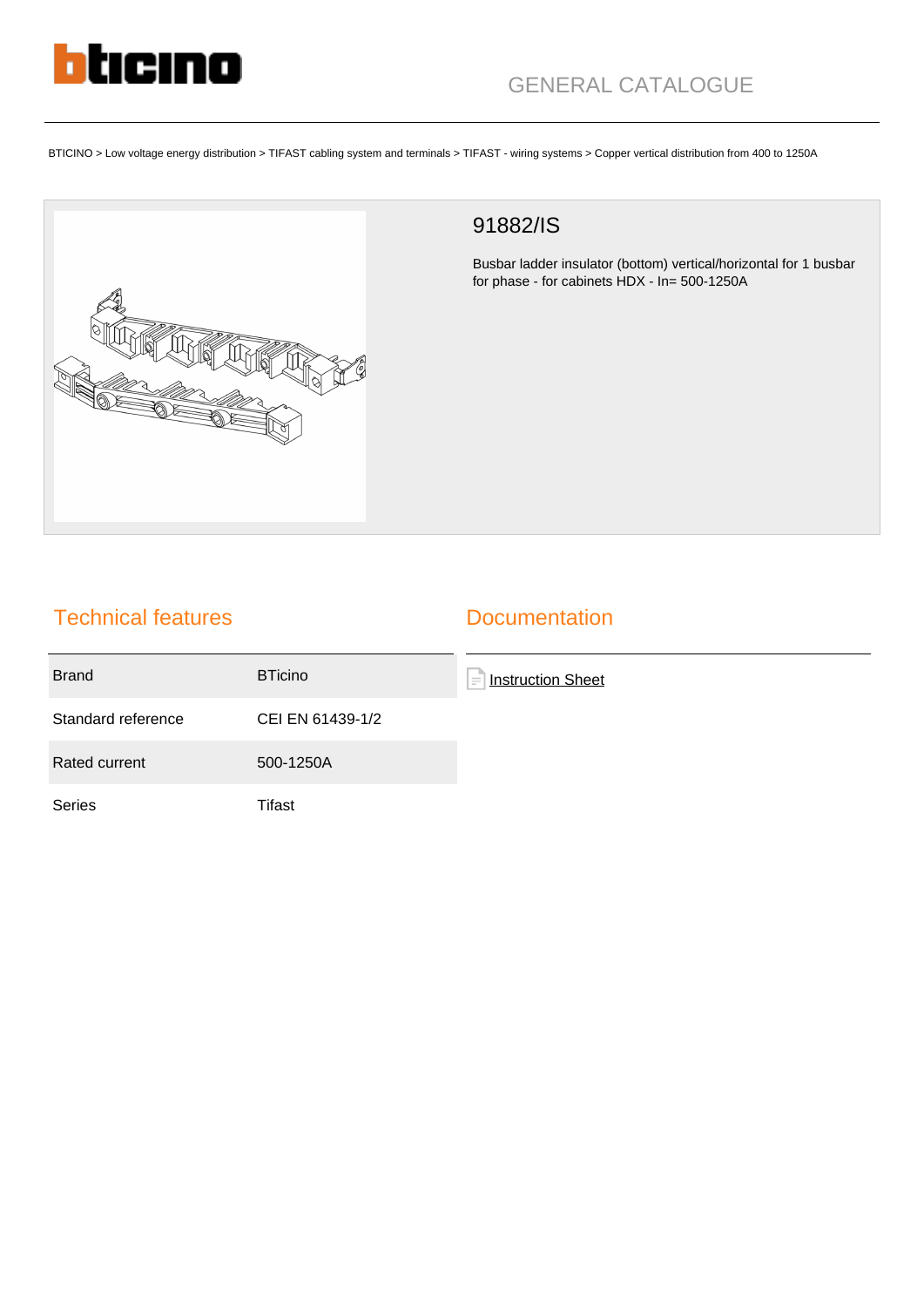

BTICINO > Low voltage energy distribution > TIFAST cabling system and terminals > TIFAST - wiring systems > Copper vertical distribution from 400 to 1250A



## 91882/IS

Busbar ladder insulator (bottom) vertical/horizontal for 1 busbar for phase - for cabinets HDX - In= 500-1250A

## Technical features

## **Documentation**

| <b>Brand</b>       | <b>BTicino</b>   | <b>Instruction Sheet</b><br>$\equiv$ |
|--------------------|------------------|--------------------------------------|
| Standard reference | CEI EN 61439-1/2 |                                      |
| Rated current      | 500-1250A        |                                      |
| <b>Series</b>      | Tifast           |                                      |